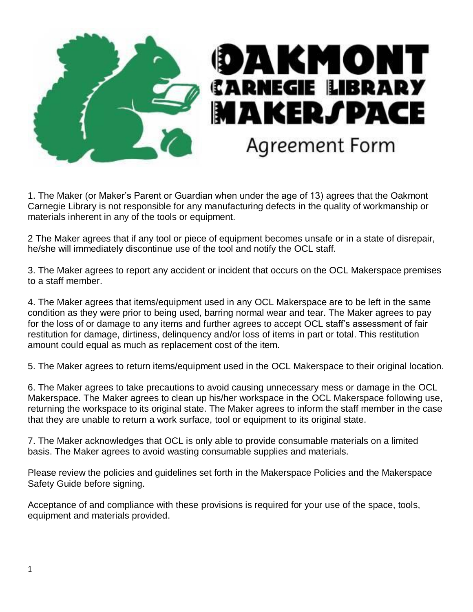

1. The Maker (or Maker's Parent or Guardian when under the age of 13) agrees that the Oakmont Carnegie Library is not responsible for any manufacturing defects in the quality of workmanship or materials inherent in any of the tools or equipment.

2 The Maker agrees that if any tool or piece of equipment becomes unsafe or in a state of disrepair, he/she will immediately discontinue use of the tool and notify the OCL staff.

3. The Maker agrees to report any accident or incident that occurs on the OCL Makerspace premises to a staff member.

4. The Maker agrees that items/equipment used in any OCL Makerspace are to be left in the same condition as they were prior to being used, barring normal wear and tear. The Maker agrees to pay for the loss of or damage to any items and further agrees to accept OCL staff's assessment of fair restitution for damage, dirtiness, delinquency and/or loss of items in part or total. This restitution amount could equal as much as replacement cost of the item.

5. The Maker agrees to return items/equipment used in the OCL Makerspace to their original location.

6. The Maker agrees to take precautions to avoid causing unnecessary mess or damage in the OCL Makerspace. The Maker agrees to clean up his/her workspace in the OCL Makerspace following use, returning the workspace to its original state. The Maker agrees to inform the staff member in the case that they are unable to return a work surface, tool or equipment to its original state.

7. The Maker acknowledges that OCL is only able to provide consumable materials on a limited basis. The Maker agrees to avoid wasting consumable supplies and materials.

Please review the policies and guidelines set forth in the Makerspace Policies and the Makerspace Safety Guide before signing.

Acceptance of and compliance with these provisions is required for your use of the space, tools, equipment and materials provided.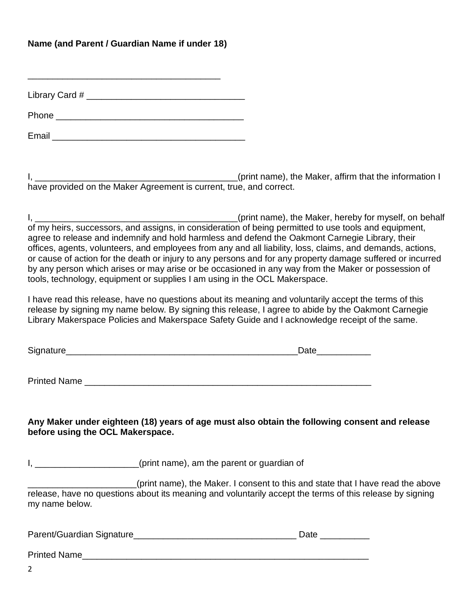## **Name (and Parent / Guardian Name if under 18)**

\_\_\_\_\_\_\_\_\_\_\_\_\_\_\_\_\_\_\_\_\_\_\_\_\_\_\_\_\_\_\_\_\_\_\_\_\_\_\_

Library Card #  $\blacksquare$ 

Phone  $\blacksquare$ 

Email  $\blacksquare$ 

I, \_\_\_\_\_\_\_\_\_\_\_\_\_\_\_\_\_\_\_\_\_\_\_\_\_\_\_\_\_\_\_\_\_\_\_\_\_\_\_\_\_(print name), the Maker, affirm that the information I have provided on the Maker Agreement is current, true, and correct.

I, \_\_\_\_\_\_\_\_\_\_\_\_\_\_\_\_\_\_\_\_\_\_\_\_\_\_\_\_\_\_\_\_\_\_\_\_\_\_\_\_\_(print name), the Maker, hereby for myself, on behalf of my heirs, successors, and assigns, in consideration of being permitted to use tools and equipment, agree to release and indemnify and hold harmless and defend the Oakmont Carnegie Library, their offices, agents, volunteers, and employees from any and all liability, loss, claims, and demands, actions, or cause of action for the death or injury to any persons and for any property damage suffered or incurred by any person which arises or may arise or be occasioned in any way from the Maker or possession of tools, technology, equipment or supplies I am using in the OCL Makerspace.

I have read this release, have no questions about its meaning and voluntarily accept the terms of this release by signing my name below. By signing this release, I agree to abide by the Oakmont Carnegie Library Makerspace Policies and Makerspace Safety Guide and I acknowledge receipt of the same.

Signature\_\_\_\_\_\_\_\_\_\_\_\_\_\_\_\_\_\_\_\_\_\_\_\_\_\_\_\_\_\_\_\_\_\_\_\_\_\_\_\_\_\_\_\_\_\_\_Date\_\_\_\_\_\_\_\_\_\_\_

Printed Name \_\_\_\_\_\_\_\_\_\_\_\_\_\_\_\_\_\_\_\_\_\_\_\_\_\_\_\_\_\_\_\_\_\_\_\_\_\_\_\_\_\_\_\_\_\_\_\_\_\_\_\_\_\_\_\_\_\_

**Any Maker under eighteen (18) years of age must also obtain the following consent and release before using the OCL Makerspace.**

I, \_\_\_\_\_\_\_\_\_\_\_\_\_\_\_\_\_\_\_\_(print name), am the parent or guardian of

\_\_\_\_\_\_\_\_\_\_\_\_\_\_\_\_\_\_\_\_\_\_(print name), the Maker. I consent to this and state that I have read the above release, have no questions about its meaning and voluntarily accept the terms of this release by signing my name below.

| Parent/Guardian Signature_ | Date |
|----------------------------|------|
|----------------------------|------|

| <b>Printed Name</b> |  |  |
|---------------------|--|--|
|                     |  |  |